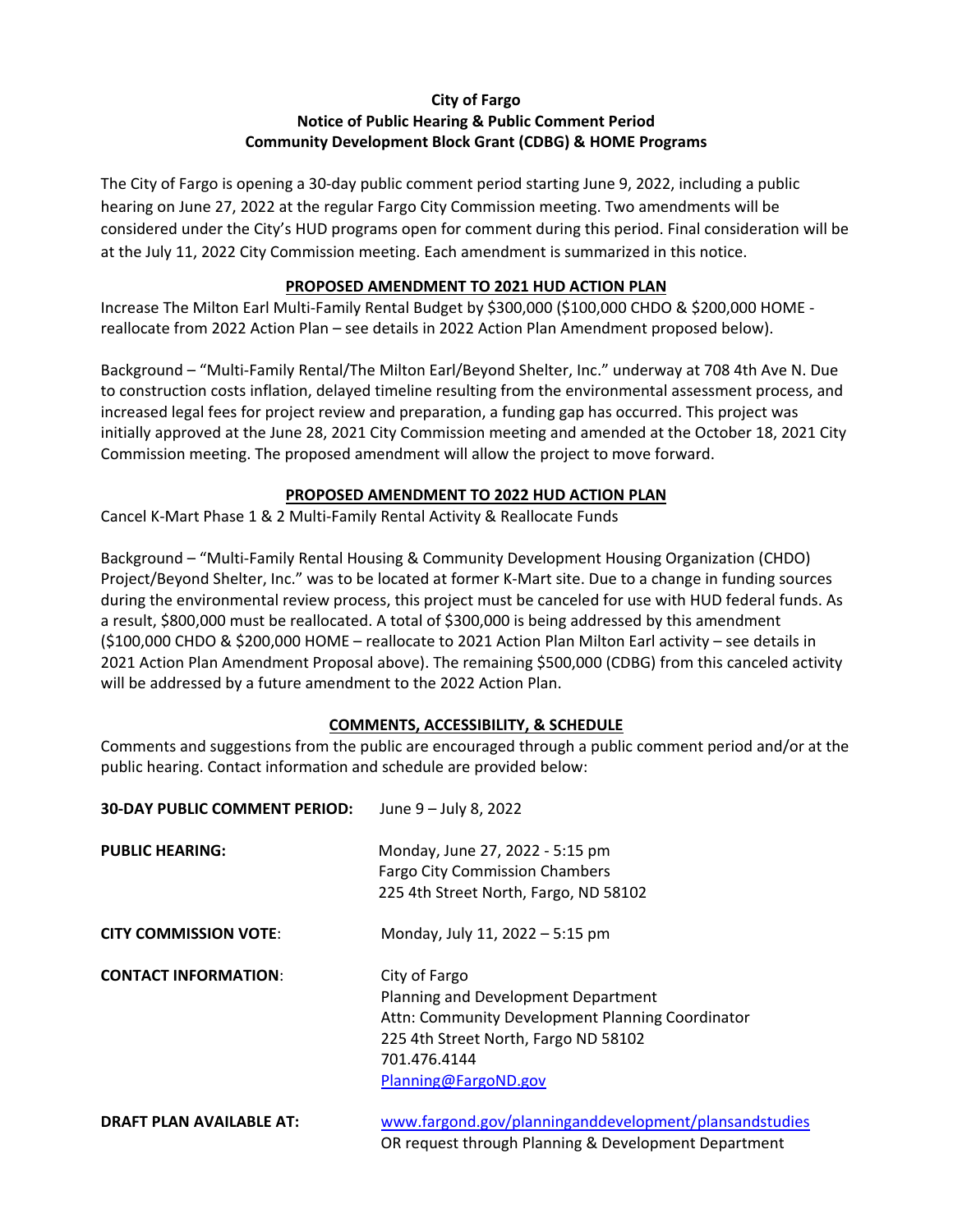## **City of Fargo Notice of Public Hearing & Public Comment Period Community Development Block Grant (CDBG) & HOME Programs**

The City of Fargo is opening a 30‐day public comment period starting June 9, 2022, including a public hearing on June 27, 2022 at the regular Fargo City Commission meeting. Two amendments will be considered under the City's HUD programs open for comment during this period. Final consideration will be at the July 11, 2022 City Commission meeting. Each amendment is summarized in this notice.

## **PROPOSED AMENDMENT TO 2021 HUD ACTION PLAN**

Increase The Milton Earl Multi‐Family Rental Budget by \$300,000 (\$100,000 CHDO & \$200,000 HOME ‐ reallocate from 2022 Action Plan – see details in 2022 Action Plan Amendment proposed below).

Background – "Multi‐Family Rental/The Milton Earl/Beyond Shelter, Inc." underway at 708 4th Ave N. Due to construction costs inflation, delayed timeline resulting from the environmental assessment process, and increased legal fees for project review and preparation, a funding gap has occurred. This project was initially approved at the June 28, 2021 City Commission meeting and amended at the October 18, 2021 City Commission meeting. The proposed amendment will allow the project to move forward.

## **PROPOSED AMENDMENT TO 2022 HUD ACTION PLAN**

Cancel K‐Mart Phase 1 & 2 Multi‐Family Rental Activity & Reallocate Funds

Background – "Multi‐Family Rental Housing & Community Development Housing Organization (CHDO) Project/Beyond Shelter, Inc." was to be located at former K‐Mart site. Due to a change in funding sources during the environmental review process, this project must be canceled for use with HUD federal funds. As a result, \$800,000 must be reallocated. A total of \$300,000 is being addressed by this amendment (\$100,000 CHDO & \$200,000 HOME – reallocate to 2021 Action Plan Milton Earl activity – see details in 2021 Action Plan Amendment Proposal above). The remaining \$500,000 (CDBG) from this canceled activity will be addressed by a future amendment to the 2022 Action Plan.

## **COMMENTS, ACCESSIBILITY, & SCHEDULE**

Comments and suggestions from the public are encouraged through a public comment period and/or at the public hearing. Contact information and schedule are provided below:

| <b>30-DAY PUBLIC COMMENT PERIOD:</b> | June 9 - July 8, 2022                                                                                                                                                                    |
|--------------------------------------|------------------------------------------------------------------------------------------------------------------------------------------------------------------------------------------|
| <b>PUBLIC HEARING:</b>               | Monday, June 27, 2022 - 5:15 pm<br><b>Fargo City Commission Chambers</b><br>225 4th Street North, Fargo, ND 58102                                                                        |
| <b>CITY COMMISSION VOTE:</b>         | Monday, July 11, 2022 - 5:15 pm                                                                                                                                                          |
| <b>CONTACT INFORMATION:</b>          | City of Fargo<br>Planning and Development Department<br>Attn: Community Development Planning Coordinator<br>225 4th Street North, Fargo ND 58102<br>701.476.4144<br>Planning@FargoND.gov |
| <b>DRAFT PLAN AVAILABLE AT:</b>      | www.fargond.gov/planninganddevelopment/plansandstudies<br>OR request through Planning & Development Department                                                                           |